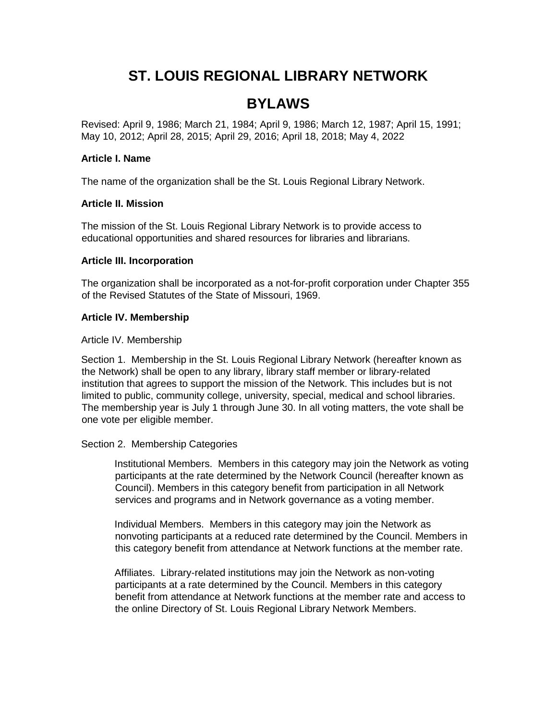# **ST. LOUIS REGIONAL LIBRARY NETWORK**

## **BYLAWS**

Revised: April 9, 1986; March 21, 1984; April 9, 1986; March 12, 1987; April 15, 1991; May 10, 2012; April 28, 2015; April 29, 2016; April 18, 2018; May 4, 2022

#### **Article I. Name**

The name of the organization shall be the St. Louis Regional Library Network.

#### **Article II. Mission**

The mission of the St. Louis Regional Library Network is to provide access to educational opportunities and shared resources for libraries and librarians.

#### **Article III. Incorporation**

The organization shall be incorporated as a not-for-profit corporation under Chapter 355 of the Revised Statutes of the State of Missouri, 1969.

#### **Article IV. Membership**

#### Article IV. Membership

Section 1. Membership in the St. Louis Regional Library Network (hereafter known as the Network) shall be open to any library, library staff member or library-related institution that agrees to support the mission of the Network. This includes but is not limited to public, community college, university, special, medical and school libraries. The membership year is July 1 through June 30. In all voting matters, the vote shall be one vote per eligible member.

#### Section 2. Membership Categories

Institutional Members. Members in this category may join the Network as voting participants at the rate determined by the Network Council (hereafter known as Council). Members in this category benefit from participation in all Network services and programs and in Network governance as a voting member.

Individual Members. Members in this category may join the Network as nonvoting participants at a reduced rate determined by the Council. Members in this category benefit from attendance at Network functions at the member rate.

Affiliates. Library-related institutions may join the Network as non-voting participants at a rate determined by the Council. Members in this category benefit from attendance at Network functions at the member rate and access to the online Directory of St. Louis Regional Library Network Members.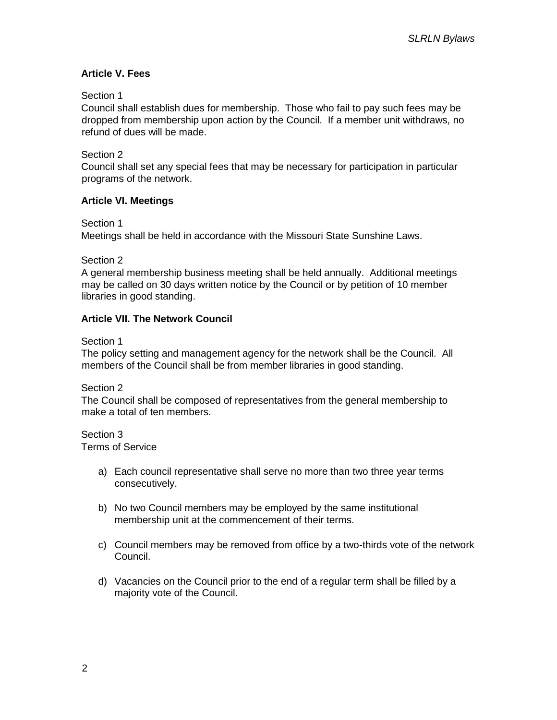## **Article V. Fees**

#### Section 1

Council shall establish dues for membership. Those who fail to pay such fees may be dropped from membership upon action by the Council. If a member unit withdraws, no refund of dues will be made.

Section 2

Council shall set any special fees that may be necessary for participation in particular programs of the network.

#### **Article VI. Meetings**

Section 1

Meetings shall be held in accordance with the Missouri State Sunshine Laws.

Section 2

A general membership business meeting shall be held annually. Additional meetings may be called on 30 days written notice by the Council or by petition of 10 member libraries in good standing.

#### **Article VII. The Network Council**

Section 1

The policy setting and management agency for the network shall be the Council. All members of the Council shall be from member libraries in good standing.

Section 2

The Council shall be composed of representatives from the general membership to make a total of ten members.

Section 3 Terms of Service

- a) Each council representative shall serve no more than two three year terms consecutively.
- b) No two Council members may be employed by the same institutional membership unit at the commencement of their terms.
- c) Council members may be removed from office by a two-thirds vote of the network Council.
- d) Vacancies on the Council prior to the end of a regular term shall be filled by a majority vote of the Council.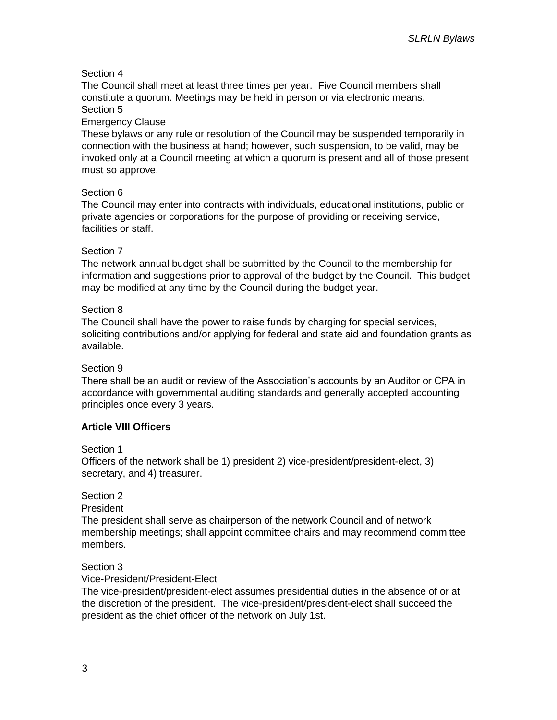## Section 4

The Council shall meet at least three times per year. Five Council members shall constitute a quorum. Meetings may be held in person or via electronic means. Section 5

#### Emergency Clause

These bylaws or any rule or resolution of the Council may be suspended temporarily in connection with the business at hand; however, such suspension, to be valid, may be invoked only at a Council meeting at which a quorum is present and all of those present must so approve.

#### Section 6

The Council may enter into contracts with individuals, educational institutions, public or private agencies or corporations for the purpose of providing or receiving service, facilities or staff.

#### Section 7

The network annual budget shall be submitted by the Council to the membership for information and suggestions prior to approval of the budget by the Council. This budget may be modified at any time by the Council during the budget year.

#### Section 8

The Council shall have the power to raise funds by charging for special services, soliciting contributions and/or applying for federal and state aid and foundation grants as available.

#### Section 9

There shall be an audit or review of the Association's accounts by an Auditor or CPA in accordance with governmental auditing standards and generally accepted accounting principles once every 3 years.

#### **Article VIII Officers**

#### Section 1

Officers of the network shall be 1) president 2) vice-president/president-elect, 3) secretary, and 4) treasurer.

#### Section 2

President

The president shall serve as chairperson of the network Council and of network membership meetings; shall appoint committee chairs and may recommend committee members.

#### Section 3

Vice-President/President-Elect

The vice-president/president-elect assumes presidential duties in the absence of or at the discretion of the president. The vice-president/president-elect shall succeed the president as the chief officer of the network on July 1st.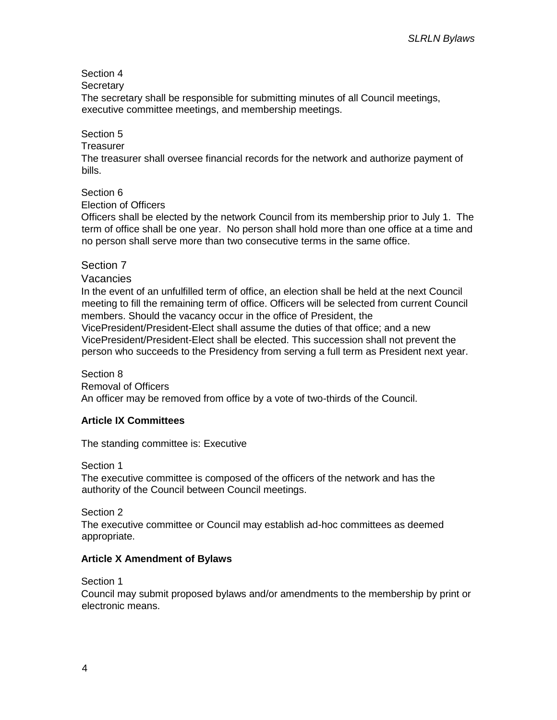Section 4

Secretary

The secretary shall be responsible for submitting minutes of all Council meetings, executive committee meetings, and membership meetings.

## Section 5

## **Treasurer**

The treasurer shall oversee financial records for the network and authorize payment of bills.

## Section 6

Election of Officers

Officers shall be elected by the network Council from its membership prior to July 1. The term of office shall be one year. No person shall hold more than one office at a time and no person shall serve more than two consecutive terms in the same office.

## Section 7

## Vacancies

In the event of an unfulfilled term of office, an election shall be held at the next Council meeting to fill the remaining term of office. Officers will be selected from current Council members. Should the vacancy occur in the office of President, the

VicePresident/President-Elect shall assume the duties of that office; and a new VicePresident/President-Elect shall be elected. This succession shall not prevent the person who succeeds to the Presidency from serving a full term as President next year.

#### Section 8

Removal of Officers An officer may be removed from office by a vote of two-thirds of the Council.

#### **Article IX Committees**

The standing committee is: Executive

#### Section 1

The executive committee is composed of the officers of the network and has the authority of the Council between Council meetings.

Section 2

The executive committee or Council may establish ad-hoc committees as deemed appropriate.

#### **Article X Amendment of Bylaws**

Section 1

Council may submit proposed bylaws and/or amendments to the membership by print or electronic means.